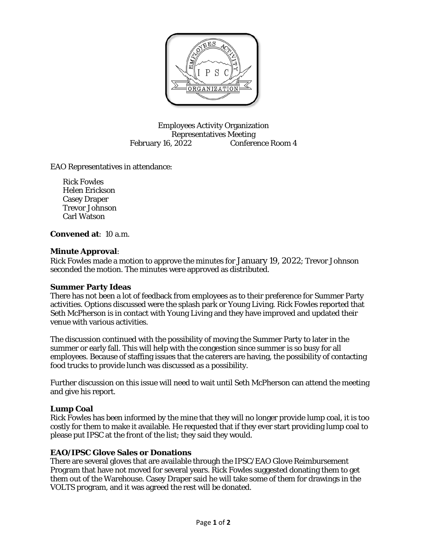

Employees Activity Organization Representatives Meeting February 16, 2022 Conference Room 4

EAO Representatives in attendance:

Rick Fowles Helen Erickson Casey Draper Trevor Johnson Carl Watson

**Convened at**: 10 a.m.

### **Minute Approval**:

Rick Fowles made a motion to approve the minutes for January 19, 2022; Trevor Johnson seconded the motion. The minutes were approved as distributed.

#### **Summer Party Ideas**

There has not been a lot of feedback from employees as to their preference for Summer Party activities. Options discussed were the splash park or Young Living. Rick Fowles reported that Seth McPherson is in contact with Young Living and they have improved and updated their venue with various activities.

The discussion continued with the possibility of moving the Summer Party to later in the summer or early fall. This will help with the congestion since summer is so busy for all employees. Because of staffing issues that the caterers are having, the possibility of contacting food trucks to provide lunch was discussed as a possibility.

Further discussion on this issue will need to wait until Seth McPherson can attend the meeting and give his report.

# **Lump Coal**

Rick Fowles has been informed by the mine that they will no longer provide lump coal, it is too costly for them to make it available. He requested that if they ever start providing lump coal to please put IPSC at the front of the list; they said they would.

# **EAO/IPSC Glove Sales or Donations**

There are several gloves that are available through the IPSC/EAO Glove Reimbursement Program that have not moved for several years. Rick Fowles suggested donating them to get them out of the Warehouse. Casey Draper said he will take some of them for drawings in the VOLTS program, and it was agreed the rest will be donated.